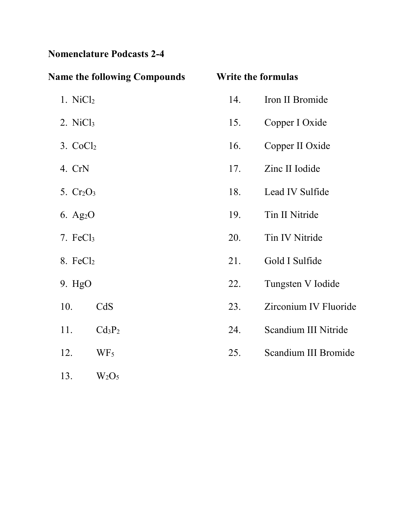## **Nomenclature Podcasts 2-4**

| <b>Name the following Compounds</b>   |     | <b>Write the formulas</b> |
|---------------------------------------|-----|---------------------------|
| 1. $NiCl2$                            | 14. | Iron II Bromide           |
| 2. $NiCl3$                            | 15. | Copper I Oxide            |
| 3. CoCl <sub>2</sub>                  | 16. | Copper II Oxide           |
| 4. CrN                                | 17. | Zinc II Iodide            |
| 5. $Cr2O3$                            | 18. | Lead IV Sulfide           |
| 6. Ag <sub>2</sub> O                  | 19. | Tin II Nitride            |
| 7. $FeCl3$                            | 20. | Tin IV Nitride            |
| $8.$ FeCl <sub>2</sub>                | 21. | Gold I Sulfide            |
| 9. HgO                                | 22. | Tungsten V Iodide         |
| 10.<br>CdS                            | 23. | Zirconium IV Fluoride     |
| 11.<br>Cd <sub>3</sub> P <sub>2</sub> | 24. | Scandium III Nitride      |
| 12.<br>WF <sub>5</sub>                | 25. | Scandium III Bromide      |
| 13.<br>$W_2O_5$                       |     |                           |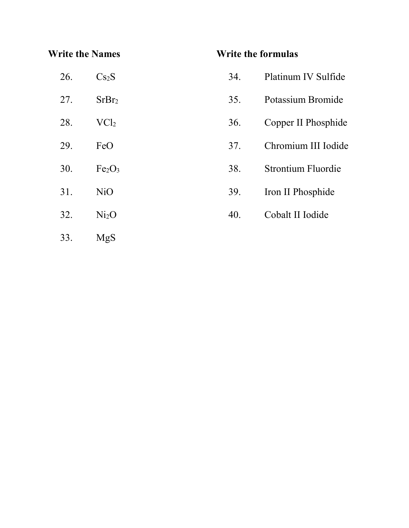#### **Write the Names**

#### **Write the formulas**

| 26. | Cs <sub>2</sub> S              | 34. | Platinum IV Sulfide       |
|-----|--------------------------------|-----|---------------------------|
| 27. | SrBr <sub>2</sub>              | 35. | Potassium Bromide         |
| 28. | $\text{VC}l_2$                 | 36. | Copper II Phosphide       |
| 29. | FeO                            | 37. | Chromium III Iodide       |
| 30. | Fe <sub>2</sub> O <sub>3</sub> | 38. | <b>Strontium Fluordie</b> |
| 31. | N <sub>i</sub> O               | 39. | Iron II Phosphide         |
| 32. | Ni <sub>2</sub> O              | 40. | Cobalt II Iodide          |
| 33. | <b>MgS</b>                     |     |                           |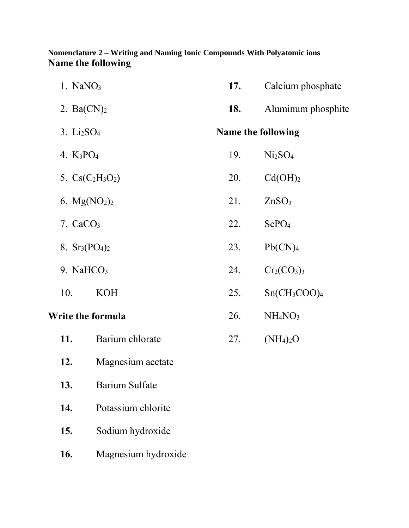#### **Nomenclature 2 – Writing and Naming Ionic Compounds With Polyatomic ions Name the following**

| $1.$ NaNO <sub>3</sub>      |                       | 17.        | Calcium phosphate                 |
|-----------------------------|-----------------------|------------|-----------------------------------|
| 2. $Ba(CN)_2$               |                       | <b>18.</b> | Aluminum phosphite                |
| $3. \text{Li}_2\text{SO}_4$ |                       |            | <b>Name the following</b>         |
| 4. $K_3PO_4$                |                       | 19.        | Ni <sub>2</sub> SO <sub>4</sub>   |
|                             | 5. $Cs(C_2H_3O_2)$    | 20.        | Cd(OH) <sub>2</sub>               |
| 6. $Mg(NO2)2$               |                       | 21.        | ZnSO <sub>3</sub>                 |
| $7. \text{ CaCO}_3$         |                       | 22.        | ScPO <sub>4</sub>                 |
| 8. $Sr_3(PO_4)_2$           |                       | 23.        | Pb(CN) <sub>4</sub>               |
| 9. NaH $CO3$                |                       | 24.        | $Cr_2(CO_3)_3$                    |
| 10.                         | <b>KOH</b>            | 25.        | $Sn(CH_3COO)_4$                   |
|                             | Write the formula     | 26.        | NH <sub>4</sub> NO <sub>3</sub>   |
| 11.                         | Barium chlorate       | 27.        | (NH <sub>4</sub> ) <sub>2</sub> O |
| 12.                         | Magnesium acetate     |            |                                   |
| 13.                         | <b>Barium Sulfate</b> |            |                                   |
|                             |                       |            |                                   |

- **14.** Potassium chlorite
- **15.** Sodium hydroxide
- **16.** Magnesium hydroxide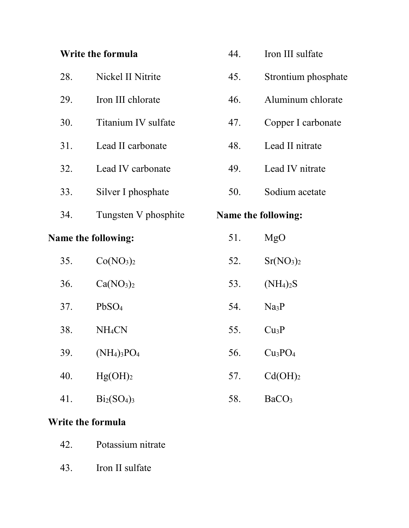# **Write the formula**

|     | <b>Name the following:</b> | 51. | MgO                        |
|-----|----------------------------|-----|----------------------------|
| 34. | Tungsten V phosphite       |     | <b>Name the following:</b> |
| 33. | Silver I phosphate         | 50. | Sodium acetate             |
| 32. | Lead IV carbonate          | 49. | Lead IV nitrate            |
| 31. | Lead II carbonate          | 48. | Lead II nitrate            |
| 30. | Titanium IV sulfate        | 47. | Copper I carbonate         |
| 29. | Iron III chlorate          | 46. | Aluminum chlorate          |
| 28. | Nickel II Nitrite          | 45. | Strontium phosphate        |

44. Iron III sulfate

| 35. | Co(NO <sub>3</sub> ) <sub>2</sub> | 52. | Sr(NO <sub>3</sub> ) <sub>2</sub> |
|-----|-----------------------------------|-----|-----------------------------------|
| 36. | Ca(NO <sub>3</sub> ) <sub>2</sub> | 53. | (NH <sub>4</sub> ) <sub>2</sub> S |
| 37. | PbSO <sub>4</sub>                 | 54. | Na <sub>3</sub> P                 |
| 38. | NH <sub>4</sub> CN                | 55. | Cu <sub>3</sub> P                 |
| 39. | $(NH_4)_3PO_4$                    | 56. | Cu <sub>3</sub> PO <sub>4</sub>   |
| 40. | Hg(OH) <sub>2</sub>               | 57. | Cd(OH) <sub>2</sub>               |
| 41. | $Bi_2(SO_4)_3$                    | 58. | BaCO <sub>3</sub>                 |

### **Write the formula**

|  |  |  |  | 42. | Potassium nitrate |  |
|--|--|--|--|-----|-------------------|--|
|  |  |  |  |     |                   |  |
|  |  |  |  |     |                   |  |
|  |  |  |  |     |                   |  |
|  |  |  |  |     |                   |  |
|  |  |  |  |     |                   |  |
|  |  |  |  |     |                   |  |
|  |  |  |  |     |                   |  |
|  |  |  |  |     |                   |  |
|  |  |  |  |     |                   |  |
|  |  |  |  |     |                   |  |
|  |  |  |  |     |                   |  |
|  |  |  |  |     |                   |  |
|  |  |  |  |     |                   |  |
|  |  |  |  |     |                   |  |

43. Iron II sulfate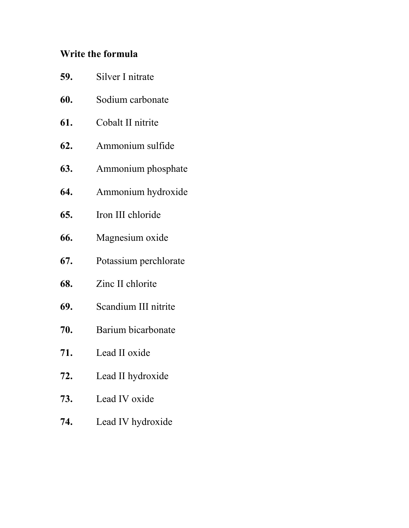# **Write the formula**

| 59. | Silver I nitrate      |
|-----|-----------------------|
| 60. | Sodium carbonate      |
| 61. | Cobalt II nitrite     |
| 62. | Ammonium sulfide      |
| 63. | Ammonium phosphate    |
| 64. | Ammonium hydroxide    |
| 65. | Iron III chloride     |
| 66. | Magnesium oxide       |
| 67. | Potassium perchlorate |
| 68. | Zinc II chlorite      |
| 69. | Scandium III nitrite  |
| 70. | Barium bicarbonate    |
| 71. | Lead II oxide         |
| 72. | Lead II hydroxide     |
| 73. | Lead IV oxide         |
| 74. | Lead IV hydroxide     |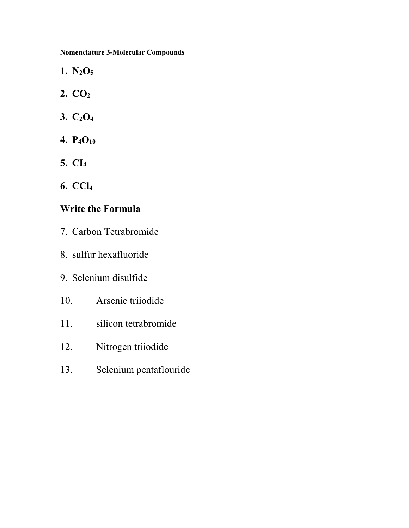**Nomenclature 3-Molecular Compounds**

- **1. N2O<sup>5</sup>**
- **2. CO<sup>2</sup>**
- **3. C2O<sup>4</sup>**
- **4. P4O<sup>10</sup>**
- **5. CI<sup>4</sup>**
- **6. CCl<sup>4</sup>**

#### **Write the Formula**

- 7. Carbon Tetrabromide
- 8. sulfur hexafluoride
- 9. Selenium disulfide
- 10. Arsenic triiodide
- 11. silicon tetrabromide
- 12. Nitrogen triiodide
- 13. Selenium pentaflouride